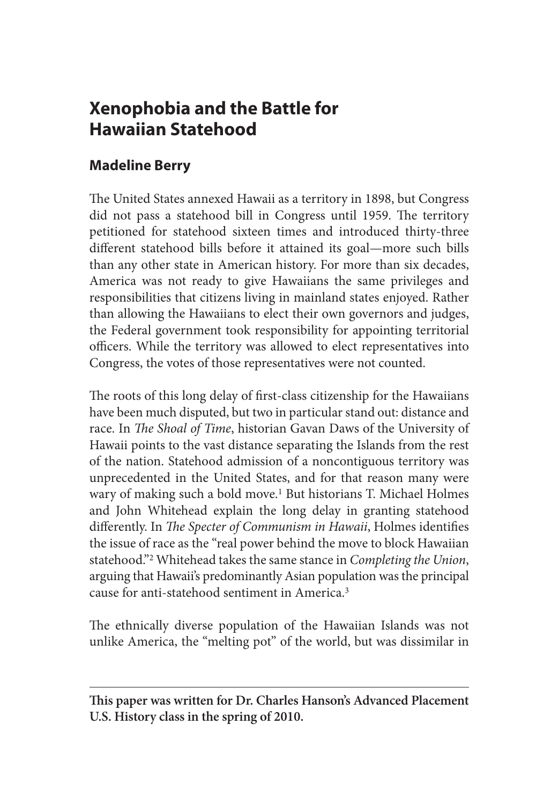# **Xenophobia and the Battle for Hawaiian Statehood**

# **Madeline Berry**

The United States annexed Hawaii as a territory in 1898, but Congress did not pass a statehood bill in Congress until 1959. The territory petitioned for statehood sixteen times and introduced thirty-three different statehood bills before it attained its goal—more such bills than any other state in American history. For more than six decades, America was not ready to give Hawaiians the same privileges and responsibilities that citizens living in mainland states enjoyed. Rather than allowing the Hawaiians to elect their own governors and judges, the Federal government took responsibility for appointing territorial officers. While the territory was allowed to elect representatives into Congress, the votes of those representatives were not counted.

The roots of this long delay of first-class citizenship for the Hawaiians have been much disputed, but two in particular stand out: distance and race. In *The Shoal of Time*, historian Gavan Daws of the University of Hawaii points to the vast distance separating the Islands from the rest of the nation. Statehood admission of a noncontiguous territory was unprecedented in the United States, and for that reason many were wary of making such a bold move.<sup>1</sup> But historians T. Michael Holmes and John Whitehead explain the long delay in granting statehood differently. In *The Specter of Communism in Hawaii*, Holmes identifies the issue of race as the "real power behind the move to block Hawaiian statehood."2 Whitehead takes the same stance in *Completing the Union*, arguing that Hawaii's predominantly Asian population was the principal cause for anti-statehood sentiment in America.3

The ethnically diverse population of the Hawaiian Islands was not unlike America, the "melting pot" of the world, but was dissimilar in

**This paper was written for Dr. Charles Hanson's Advanced Placement U.S. History class in the spring of 2010.**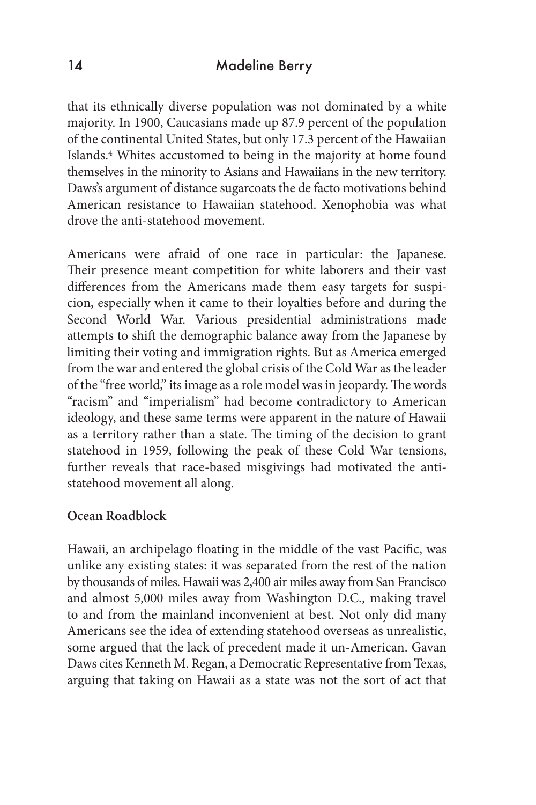### 14 Madeline Berry

that its ethnically diverse population was not dominated by a white majority. In 1900, Caucasians made up 87.9 percent of the population of the continental United States, but only 17.3 percent of the Hawaiian Islands.4 Whites accustomed to being in the majority at home found themselves in the minority to Asians and Hawaiians in the new territory. Daws's argument of distance sugarcoats the de facto motivations behind American resistance to Hawaiian statehood. Xenophobia was what drove the anti-statehood movement.

Americans were afraid of one race in particular: the Japanese. Their presence meant competition for white laborers and their vast differences from the Americans made them easy targets for suspicion, especially when it came to their loyalties before and during the Second World War. Various presidential administrations made attempts to shift the demographic balance away from the Japanese by limiting their voting and immigration rights. But as America emerged from the war and entered the global crisis of the Cold War as the leader of the "free world," its image as a role model was in jeopardy. The words "racism" and "imperialism" had become contradictory to American ideology, and these same terms were apparent in the nature of Hawaii as a territory rather than a state. The timing of the decision to grant statehood in 1959, following the peak of these Cold War tensions, further reveals that race-based misgivings had motivated the antistatehood movement all along.

#### **Ocean Roadblock**

Hawaii, an archipelago floating in the middle of the vast Pacific, was unlike any existing states: it was separated from the rest of the nation by thousands of miles. Hawaii was 2,400 air miles away from San Francisco and almost 5,000 miles away from Washington D.C., making travel to and from the mainland inconvenient at best. Not only did many Americans see the idea of extending statehood overseas as unrealistic, some argued that the lack of precedent made it un-American. Gavan Daws cites Kenneth M. Regan, a Democratic Representative from Texas, arguing that taking on Hawaii as a state was not the sort of act that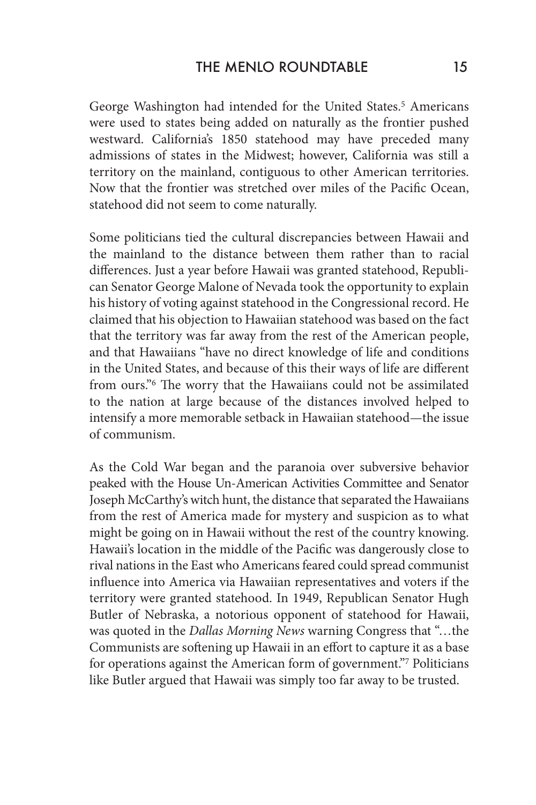George Washington had intended for the United States.<sup>5</sup> Americans were used to states being added on naturally as the frontier pushed westward. California's 1850 statehood may have preceded many admissions of states in the Midwest; however, California was still a territory on the mainland, contiguous to other American territories. Now that the frontier was stretched over miles of the Pacific Ocean, statehood did not seem to come naturally.

Some politicians tied the cultural discrepancies between Hawaii and the mainland to the distance between them rather than to racial differences. Just a year before Hawaii was granted statehood, Republican Senator George Malone of Nevada took the opportunity to explain his history of voting against statehood in the Congressional record. He claimed that his objection to Hawaiian statehood was based on the fact that the territory was far away from the rest of the American people, and that Hawaiians "have no direct knowledge of life and conditions in the United States, and because of this their ways of life are different from ours."6 The worry that the Hawaiians could not be assimilated to the nation at large because of the distances involved helped to intensify a more memorable setback in Hawaiian statehood—the issue of communism.

As the Cold War began and the paranoia over subversive behavior peaked with the House Un-American Activities Committee and Senator Joseph McCarthy's witch hunt, the distance that separated the Hawaiians from the rest of America made for mystery and suspicion as to what might be going on in Hawaii without the rest of the country knowing. Hawaii's location in the middle of the Pacific was dangerously close to rival nations in the East who Americans feared could spread communist influence into America via Hawaiian representatives and voters if the territory were granted statehood. In 1949, Republican Senator Hugh Butler of Nebraska, a notorious opponent of statehood for Hawaii, was quoted in the *Dallas Morning News* warning Congress that "…the Communists are softening up Hawaii in an effort to capture it as a base for operations against the American form of government."7 Politicians like Butler argued that Hawaii was simply too far away to be trusted.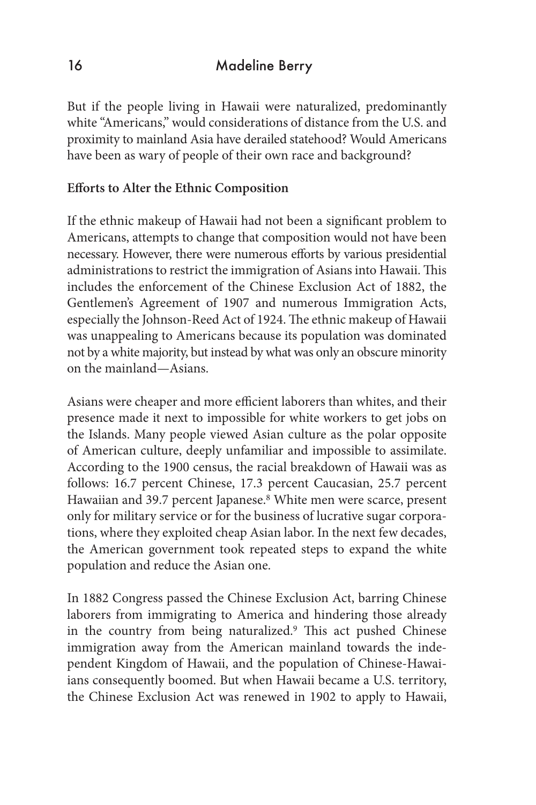But if the people living in Hawaii were naturalized, predominantly white "Americans," would considerations of distance from the U.S. and proximity to mainland Asia have derailed statehood? Would Americans have been as wary of people of their own race and background?

### **Efforts to Alter the Ethnic Composition**

If the ethnic makeup of Hawaii had not been a significant problem to Americans, attempts to change that composition would not have been necessary. However, there were numerous efforts by various presidential administrations to restrict the immigration of Asians into Hawaii. This includes the enforcement of the Chinese Exclusion Act of 1882, the Gentlemen's Agreement of 1907 and numerous Immigration Acts, especially the Johnson-Reed Act of 1924. The ethnic makeup of Hawaii was unappealing to Americans because its population was dominated not by a white majority, but instead by what was only an obscure minority on the mainland—Asians.

Asians were cheaper and more efficient laborers than whites, and their presence made it next to impossible for white workers to get jobs on the Islands. Many people viewed Asian culture as the polar opposite of American culture, deeply unfamiliar and impossible to assimilate. According to the 1900 census, the racial breakdown of Hawaii was as follows: 16.7 percent Chinese, 17.3 percent Caucasian, 25.7 percent Hawaiian and 39.7 percent Japanese.<sup>8</sup> White men were scarce, present only for military service or for the business of lucrative sugar corporations, where they exploited cheap Asian labor. In the next few decades, the American government took repeated steps to expand the white population and reduce the Asian one.

In 1882 Congress passed the Chinese Exclusion Act, barring Chinese laborers from immigrating to America and hindering those already in the country from being naturalized.9 This act pushed Chinese immigration away from the American mainland towards the independent Kingdom of Hawaii, and the population of Chinese-Hawaiians consequently boomed. But when Hawaii became a U.S. territory, the Chinese Exclusion Act was renewed in 1902 to apply to Hawaii,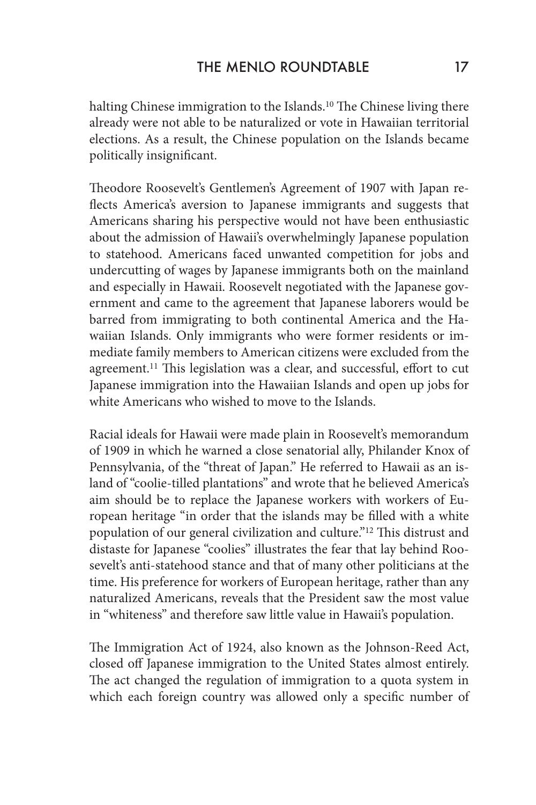halting Chinese immigration to the Islands.<sup>10</sup> The Chinese living there already were not able to be naturalized or vote in Hawaiian territorial elections. As a result, the Chinese population on the Islands became politically insignificant.

Theodore Roosevelt's Gentlemen's Agreement of 1907 with Japan reflects America's aversion to Japanese immigrants and suggests that Americans sharing his perspective would not have been enthusiastic about the admission of Hawaii's overwhelmingly Japanese population to statehood. Americans faced unwanted competition for jobs and undercutting of wages by Japanese immigrants both on the mainland and especially in Hawaii. Roosevelt negotiated with the Japanese government and came to the agreement that Japanese laborers would be barred from immigrating to both continental America and the Hawaiian Islands. Only immigrants who were former residents or immediate family members to American citizens were excluded from the agreement.11 This legislation was a clear, and successful, effort to cut Japanese immigration into the Hawaiian Islands and open up jobs for white Americans who wished to move to the Islands.

Racial ideals for Hawaii were made plain in Roosevelt's memorandum of 1909 in which he warned a close senatorial ally, Philander Knox of Pennsylvania, of the "threat of Japan." He referred to Hawaii as an island of "coolie-tilled plantations" and wrote that he believed America's aim should be to replace the Japanese workers with workers of European heritage "in order that the islands may be filled with a white population of our general civilization and culture."12 This distrust and distaste for Japanese "coolies" illustrates the fear that lay behind Roosevelt's anti-statehood stance and that of many other politicians at the time. His preference for workers of European heritage, rather than any naturalized Americans, reveals that the President saw the most value in "whiteness" and therefore saw little value in Hawaii's population.

The Immigration Act of 1924, also known as the Johnson-Reed Act, closed off Japanese immigration to the United States almost entirely. The act changed the regulation of immigration to a quota system in which each foreign country was allowed only a specific number of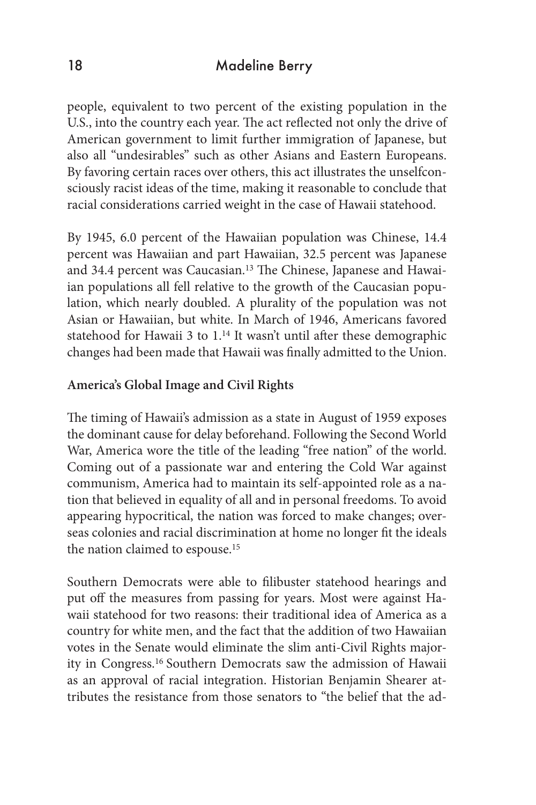## 18 Madeline Berry

people, equivalent to two percent of the existing population in the U.S., into the country each year. The act reflected not only the drive of American government to limit further immigration of Japanese, but also all "undesirables" such as other Asians and Eastern Europeans. By favoring certain races over others, this act illustrates the unselfconsciously racist ideas of the time, making it reasonable to conclude that racial considerations carried weight in the case of Hawaii statehood.

By 1945, 6.0 percent of the Hawaiian population was Chinese, 14.4 percent was Hawaiian and part Hawaiian, 32.5 percent was Japanese and 34.4 percent was Caucasian.<sup>13</sup> The Chinese, Japanese and Hawaiian populations all fell relative to the growth of the Caucasian population, which nearly doubled. A plurality of the population was not Asian or Hawaiian, but white. In March of 1946, Americans favored statehood for Hawaii 3 to 1.14 It wasn't until after these demographic changes had been made that Hawaii was finally admitted to the Union.

#### **America's Global Image and Civil Rights**

The timing of Hawaii's admission as a state in August of 1959 exposes the dominant cause for delay beforehand. Following the Second World War, America wore the title of the leading "free nation" of the world. Coming out of a passionate war and entering the Cold War against communism, America had to maintain its self-appointed role as a nation that believed in equality of all and in personal freedoms. To avoid appearing hypocritical, the nation was forced to make changes; overseas colonies and racial discrimination at home no longer fit the ideals the nation claimed to espouse.15

Southern Democrats were able to filibuster statehood hearings and put off the measures from passing for years. Most were against Hawaii statehood for two reasons: their traditional idea of America as a country for white men, and the fact that the addition of two Hawaiian votes in the Senate would eliminate the slim anti-Civil Rights majority in Congress.16 Southern Democrats saw the admission of Hawaii as an approval of racial integration. Historian Benjamin Shearer attributes the resistance from those senators to "the belief that the ad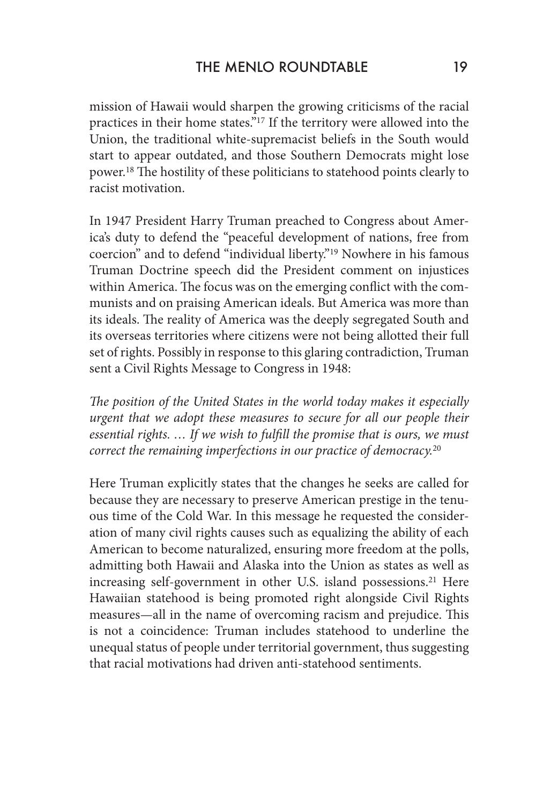mission of Hawaii would sharpen the growing criticisms of the racial practices in their home states."17 If the territory were allowed into the Union, the traditional white-supremacist beliefs in the South would start to appear outdated, and those Southern Democrats might lose power.18 The hostility of these politicians to statehood points clearly to racist motivation.

In 1947 President Harry Truman preached to Congress about America's duty to defend the "peaceful development of nations, free from coercion" and to defend "individual liberty."19 Nowhere in his famous Truman Doctrine speech did the President comment on injustices within America. The focus was on the emerging conflict with the communists and on praising American ideals. But America was more than its ideals. The reality of America was the deeply segregated South and its overseas territories where citizens were not being allotted their full set of rights. Possibly in response to this glaring contradiction, Truman sent a Civil Rights Message to Congress in 1948:

*The position of the United States in the world today makes it especially urgent that we adopt these measures to secure for all our people their essential rights. … If we wish to fulfill the promise that is ours, we must correct the remaining imperfections in our practice of democracy.*<sup>20</sup>

Here Truman explicitly states that the changes he seeks are called for because they are necessary to preserve American prestige in the tenuous time of the Cold War. In this message he requested the consideration of many civil rights causes such as equalizing the ability of each American to become naturalized, ensuring more freedom at the polls, admitting both Hawaii and Alaska into the Union as states as well as increasing self-government in other U.S. island possessions.<sup>21</sup> Here Hawaiian statehood is being promoted right alongside Civil Rights measures—all in the name of overcoming racism and prejudice. This is not a coincidence: Truman includes statehood to underline the unequal status of people under territorial government, thus suggesting that racial motivations had driven anti-statehood sentiments.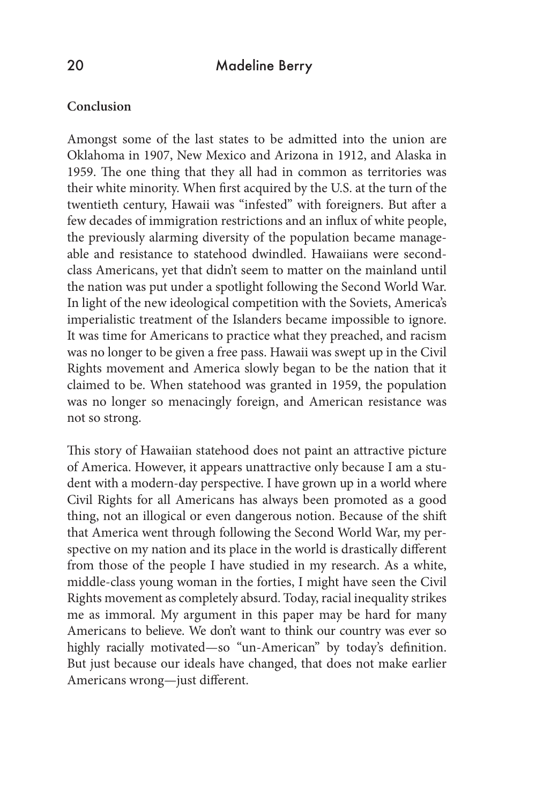#### **Conclusion**

Amongst some of the last states to be admitted into the union are Oklahoma in 1907, New Mexico and Arizona in 1912, and Alaska in 1959. The one thing that they all had in common as territories was their white minority. When first acquired by the U.S. at the turn of the twentieth century, Hawaii was "infested" with foreigners. But after a few decades of immigration restrictions and an influx of white people, the previously alarming diversity of the population became manageable and resistance to statehood dwindled. Hawaiians were secondclass Americans, yet that didn't seem to matter on the mainland until the nation was put under a spotlight following the Second World War. In light of the new ideological competition with the Soviets, America's imperialistic treatment of the Islanders became impossible to ignore. It was time for Americans to practice what they preached, and racism was no longer to be given a free pass. Hawaii was swept up in the Civil Rights movement and America slowly began to be the nation that it claimed to be. When statehood was granted in 1959, the population was no longer so menacingly foreign, and American resistance was not so strong.

This story of Hawaiian statehood does not paint an attractive picture of America. However, it appears unattractive only because I am a student with a modern-day perspective. I have grown up in a world where Civil Rights for all Americans has always been promoted as a good thing, not an illogical or even dangerous notion. Because of the shift that America went through following the Second World War, my perspective on my nation and its place in the world is drastically different from those of the people I have studied in my research. As a white, middle-class young woman in the forties, I might have seen the Civil Rights movement as completely absurd. Today, racial inequality strikes me as immoral. My argument in this paper may be hard for many Americans to believe. We don't want to think our country was ever so highly racially motivated—so "un-American" by today's definition. But just because our ideals have changed, that does not make earlier Americans wrong—just different.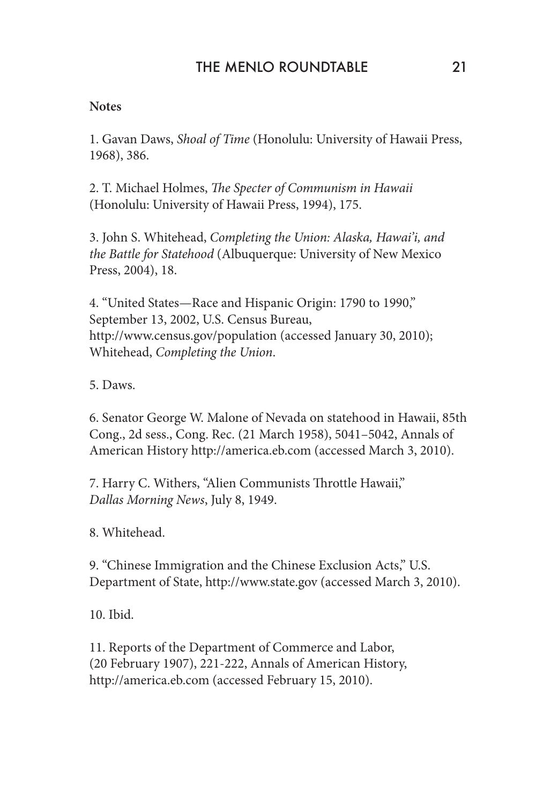#### **Notes**

1. Gavan Daws, *Shoal of Time* (Honolulu: University of Hawaii Press, 1968), 386.

2. T. Michael Holmes, *The Specter of Communism in Hawaii* (Honolulu: University of Hawaii Press, 1994), 175.

3. John S. Whitehead, *Completing the Union: Alaska, Hawai'i, and the Battle for Statehood* (Albuquerque: University of New Mexico Press, 2004), 18.

4. "United States—Race and Hispanic Origin: 1790 to 1990," September 13, 2002, U.S. Census Bureau, http://www.census.gov/population (accessed January 30, 2010); Whitehead, *Completing the Union*.

5. Daws.

6. Senator George W. Malone of Nevada on statehood in Hawaii, 85th Cong., 2d sess., Cong. Rec. (21 March 1958), 5041–5042, Annals of American History http://america.eb.com (accessed March 3, 2010).

7. Harry C. Withers, "Alien Communists Throttle Hawaii," *Dallas Morning News*, July 8, 1949.

8. Whitehead.

9. "Chinese Immigration and the Chinese Exclusion Acts," U.S. Department of State, http://www.state.gov (accessed March 3, 2010).

10. Ibid.

11. Reports of the Department of Commerce and Labor, (20 February 1907), 221-222, Annals of American History, http://america.eb.com (accessed February 15, 2010).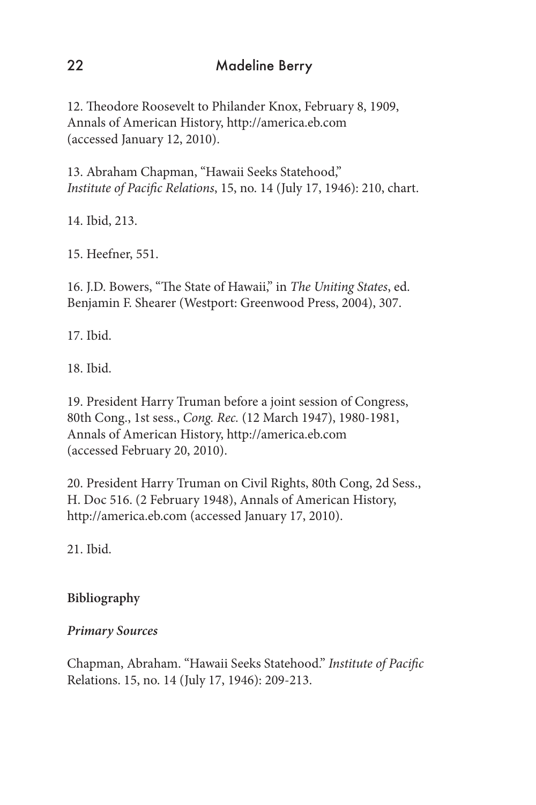12. Theodore Roosevelt to Philander Knox, February 8, 1909, Annals of American History, http://america.eb.com (accessed January 12, 2010).

13. Abraham Chapman, "Hawaii Seeks Statehood," *Institute of Pacific Relations*, 15, no. 14 (July 17, 1946): 210, chart.

14. Ibid, 213.

15. Heefner, 551.

16. J.D. Bowers, "The State of Hawaii," in *The Uniting States*, ed. Benjamin F. Shearer (Westport: Greenwood Press, 2004), 307.

17. Ibid.

18. Ibid.

19. President Harry Truman before a joint session of Congress, 80th Cong., 1st sess., *Cong. Rec.* (12 March 1947), 1980-1981, Annals of American History, http://america.eb.com (accessed February 20, 2010).

20. President Harry Truman on Civil Rights, 80th Cong, 2d Sess., H. Doc 516. (2 February 1948), Annals of American History, http://america.eb.com (accessed January 17, 2010).

21. Ibid.

# **Bibliography**

# *Primary Sources*

Chapman, Abraham. "Hawaii Seeks Statehood." *Institute of Pacific* Relations. 15, no. 14 (July 17, 1946): 209-213.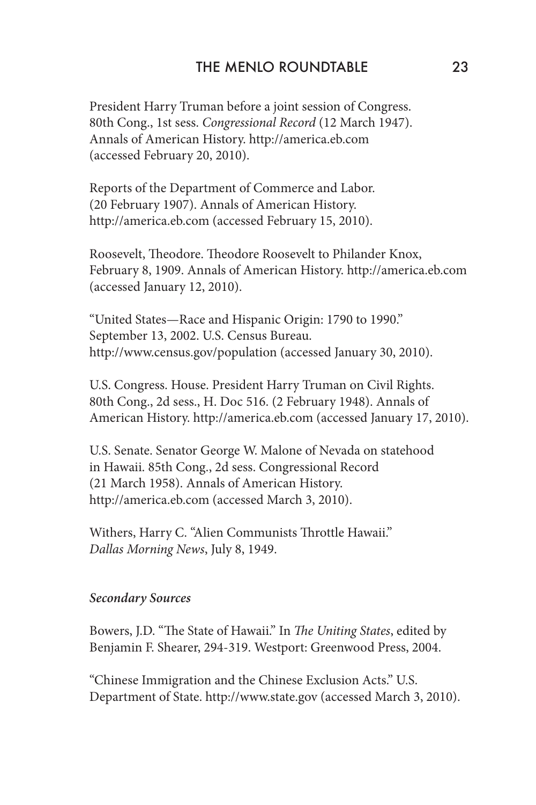President Harry Truman before a joint session of Congress. 80th Cong., 1st sess. *Congressional Record* (12 March 1947). Annals of American History. http://america.eb.com (accessed February 20, 2010).

Reports of the Department of Commerce and Labor. (20 February 1907). Annals of American History. http://america.eb.com (accessed February 15, 2010).

Roosevelt, Theodore. Theodore Roosevelt to Philander Knox, February 8, 1909. Annals of American History. http://america.eb.com (accessed January 12, 2010).

"United States—Race and Hispanic Origin: 1790 to 1990." September 13, 2002. U.S. Census Bureau. http://www.census.gov/population (accessed January 30, 2010).

U.S. Congress. House. President Harry Truman on Civil Rights. 80th Cong., 2d sess., H. Doc 516. (2 February 1948). Annals of American History. http://america.eb.com (accessed January 17, 2010).

U.S. Senate. Senator George W. Malone of Nevada on statehood in Hawaii. 85th Cong., 2d sess. Congressional Record (21 March 1958). Annals of American History. http://america.eb.com (accessed March 3, 2010).

Withers, Harry C. "Alien Communists Throttle Hawaii." *Dallas Morning News*, July 8, 1949.

#### *Secondary Sources*

Bowers, J.D. "The State of Hawaii." In *The Uniting States*, edited by Benjamin F. Shearer, 294-319. Westport: Greenwood Press, 2004.

"Chinese Immigration and the Chinese Exclusion Acts." U.S. Department of State. http://www.state.gov (accessed March 3, 2010).